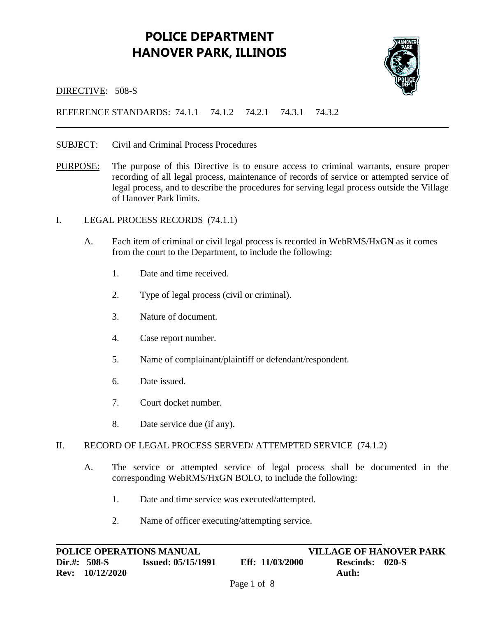## **POLICE DEPARTMENT HANOVER PARK, ILLINOIS**



DIRECTIVE: 508-S

## REFERENCE STANDARDS: 74.1.1 74.1.2 74.2.1 74.3.1 74.3.2

- SUBJECT: Civil and Criminal Process Procedures
- PURPOSE: The purpose of this Directive is to ensure access to criminal warrants, ensure proper recording of all legal process, maintenance of records of service or attempted service of legal process, and to describe the procedures for serving legal process outside the Village of Hanover Park limits.
- I. LEGAL PROCESS RECORDS (74.1.1)
	- A. Each item of criminal or civil legal process is recorded in WebRMS/HxGN as it comes from the court to the Department, to include the following:
		- 1. Date and time received.
		- 2. Type of legal process (civil or criminal).
		- 3. Nature of document.
		- 4. Case report number.
		- 5. Name of complainant/plaintiff or defendant/respondent.
		- 6. Date issued.
		- 7. Court docket number.
		- 8. Date service due (if any).

#### II. RECORD OF LEGAL PROCESS SERVED/ ATTEMPTED SERVICE (74.1.2)

- A. The service or attempted service of legal process shall be documented in the corresponding WebRMS/HxGN BOLO, to include the following:
	- 1. Date and time service was executed/attempted.
	- 2. Name of officer executing/attempting service.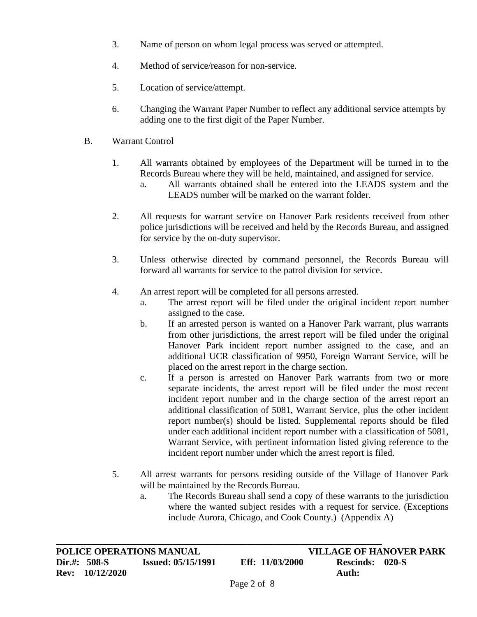- 3. Name of person on whom legal process was served or attempted.
- 4. Method of service/reason for non-service.
- 5. Location of service/attempt.
- 6. Changing the Warrant Paper Number to reflect any additional service attempts by adding one to the first digit of the Paper Number.
- B. Warrant Control
	- 1. All warrants obtained by employees of the Department will be turned in to the Records Bureau where they will be held, maintained, and assigned for service.
		- a. All warrants obtained shall be entered into the LEADS system and the LEADS number will be marked on the warrant folder.
	- 2. All requests for warrant service on Hanover Park residents received from other police jurisdictions will be received and held by the Records Bureau, and assigned for service by the on-duty supervisor.
	- 3. Unless otherwise directed by command personnel, the Records Bureau will forward all warrants for service to the patrol division for service.
	- 4. An arrest report will be completed for all persons arrested.
		- a. The arrest report will be filed under the original incident report number assigned to the case.
		- b. If an arrested person is wanted on a Hanover Park warrant, plus warrants from other jurisdictions, the arrest report will be filed under the original Hanover Park incident report number assigned to the case, and an additional UCR classification of 9950, Foreign Warrant Service, will be placed on the arrest report in the charge section.
		- c. If a person is arrested on Hanover Park warrants from two or more separate incidents, the arrest report will be filed under the most recent incident report number and in the charge section of the arrest report an additional classification of 5081, Warrant Service, plus the other incident report number(s) should be listed. Supplemental reports should be filed under each additional incident report number with a classification of 5081, Warrant Service, with pertinent information listed giving reference to the incident report number under which the arrest report is filed.
	- 5. All arrest warrants for persons residing outside of the Village of Hanover Park will be maintained by the Records Bureau.
		- a. The Records Bureau shall send a copy of these warrants to the jurisdiction where the wanted subject resides with a request for service. (Exceptions include Aurora, Chicago, and Cook County.) (Appendix A)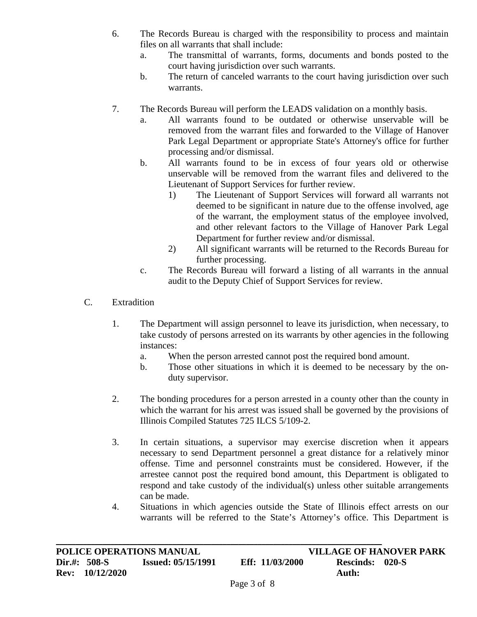- 6. The Records Bureau is charged with the responsibility to process and maintain files on all warrants that shall include:
	- a. The transmittal of warrants, forms, documents and bonds posted to the court having jurisdiction over such warrants.
	- b. The return of canceled warrants to the court having jurisdiction over such warrants.
- 7. The Records Bureau will perform the LEADS validation on a monthly basis.
	- a. All warrants found to be outdated or otherwise unservable will be removed from the warrant files and forwarded to the Village of Hanover Park Legal Department or appropriate State's Attorney's office for further processing and/or dismissal.
	- b. All warrants found to be in excess of four years old or otherwise unservable will be removed from the warrant files and delivered to the Lieutenant of Support Services for further review.
		- 1) The Lieutenant of Support Services will forward all warrants not deemed to be significant in nature due to the offense involved, age of the warrant, the employment status of the employee involved, and other relevant factors to the Village of Hanover Park Legal Department for further review and/or dismissal.
		- 2) All significant warrants will be returned to the Records Bureau for further processing.
	- c. The Records Bureau will forward a listing of all warrants in the annual audit to the Deputy Chief of Support Services for review.
- C. Extradition
	- 1. The Department will assign personnel to leave its jurisdiction, when necessary, to take custody of persons arrested on its warrants by other agencies in the following instances:
		- a. When the person arrested cannot post the required bond amount.
		- b. Those other situations in which it is deemed to be necessary by the onduty supervisor.
	- 2. The bonding procedures for a person arrested in a county other than the county in which the warrant for his arrest was issued shall be governed by the provisions of Illinois Compiled Statutes 725 ILCS 5/109-2.
	- 3. In certain situations, a supervisor may exercise discretion when it appears necessary to send Department personnel a great distance for a relatively minor offense. Time and personnel constraints must be considered. However, if the arrestee cannot post the required bond amount, this Department is obligated to respond and take custody of the individual(s) unless other suitable arrangements can be made.
	- 4. Situations in which agencies outside the State of Illinois effect arrests on our warrants will be referred to the State's Attorney's office. This Department is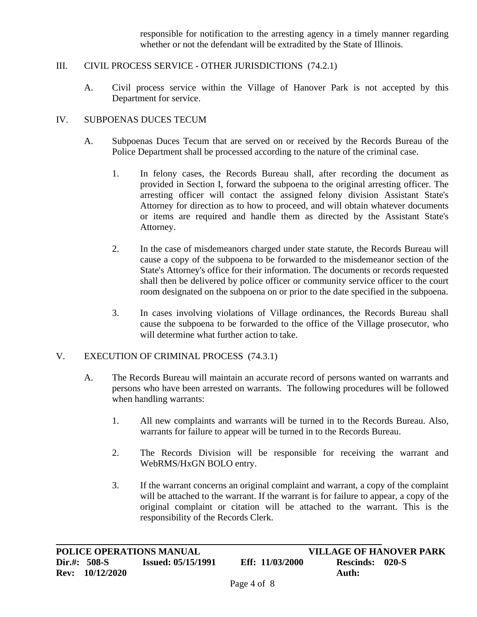responsible for notification to the arresting agency in a timely manner regarding whether or not the defendant will be extradited by the State of Illinois.

## III. CIVIL PROCESS SERVICE - OTHER JURISDICTIONS (74.2.1)

A. Civil process service within the Village of Hanover Park is not accepted by this Department for service.

## IV. SUBPOENAS DUCES TECUM

- A. Subpoenas Duces Tecum that are served on or received by the Records Bureau of the Police Department shall be processed according to the nature of the criminal case.
	- 1. In felony cases, the Records Bureau shall, after recording the document as provided in Section I, forward the subpoena to the original arresting officer. The arresting officer will contact the assigned felony division Assistant State's Attorney for direction as to how to proceed, and will obtain whatever documents or items are required and handle them as directed by the Assistant State's Attorney.
	- 2. In the case of misdemeanors charged under state statute, the Records Bureau will cause a copy of the subpoena to be forwarded to the misdemeanor section of the State's Attorney's office for their information. The documents or records requested shall then be delivered by police officer or community service officer to the court room designated on the subpoena on or prior to the date specified in the subpoena.
	- 3. In cases involving violations of Village ordinances, the Records Bureau shall cause the subpoena to be forwarded to the office of the Village prosecutor, who will determine what further action to take.

### V. EXECUTION OF CRIMINAL PROCESS (74.3.1)

- A. The Records Bureau will maintain an accurate record of persons wanted on warrants and persons who have been arrested on warrants. The following procedures will be followed when handling warrants:
	- 1. All new complaints and warrants will be turned in to the Records Bureau. Also, warrants for failure to appear will be turned in to the Records Bureau.
	- 2. The Records Division will be responsible for receiving the warrant and WebRMS/HxGN BOLO entry.
	- 3. If the warrant concerns an original complaint and warrant, a copy of the complaint will be attached to the warrant. If the warrant is for failure to appear, a copy of the original complaint or citation will be attached to the warrant. This is the responsibility of the Records Clerk.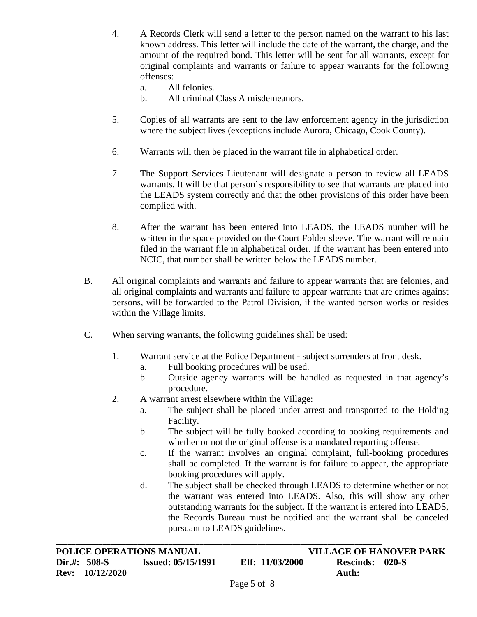- 4. A Records Clerk will send a letter to the person named on the warrant to his last known address. This letter will include the date of the warrant, the charge, and the amount of the required bond. This letter will be sent for all warrants, except for original complaints and warrants or failure to appear warrants for the following offenses:
	- a. All felonies.
	- b. All criminal Class A misdemeanors.
- 5. Copies of all warrants are sent to the law enforcement agency in the jurisdiction where the subject lives (exceptions include Aurora, Chicago, Cook County).
- 6. Warrants will then be placed in the warrant file in alphabetical order.
- 7. The Support Services Lieutenant will designate a person to review all LEADS warrants. It will be that person's responsibility to see that warrants are placed into the LEADS system correctly and that the other provisions of this order have been complied with.
- 8. After the warrant has been entered into LEADS, the LEADS number will be written in the space provided on the Court Folder sleeve. The warrant will remain filed in the warrant file in alphabetical order. If the warrant has been entered into NCIC, that number shall be written below the LEADS number.
- B. All original complaints and warrants and failure to appear warrants that are felonies, and all original complaints and warrants and failure to appear warrants that are crimes against persons, will be forwarded to the Patrol Division, if the wanted person works or resides within the Village limits.
- C. When serving warrants, the following guidelines shall be used:
	- 1. Warrant service at the Police Department subject surrenders at front desk.
		- a. Full booking procedures will be used.
		- b. Outside agency warrants will be handled as requested in that agency's procedure.
	- 2. A warrant arrest elsewhere within the Village:

- a. The subject shall be placed under arrest and transported to the Holding Facility.
- b. The subject will be fully booked according to booking requirements and whether or not the original offense is a mandated reporting offense.
- c. If the warrant involves an original complaint, full-booking procedures shall be completed. If the warrant is for failure to appear, the appropriate booking procedures will apply.
- d. The subject shall be checked through LEADS to determine whether or not the warrant was entered into LEADS. Also, this will show any other outstanding warrants for the subject. If the warrant is entered into LEADS, the Records Bureau must be notified and the warrant shall be canceled pursuant to LEADS guidelines.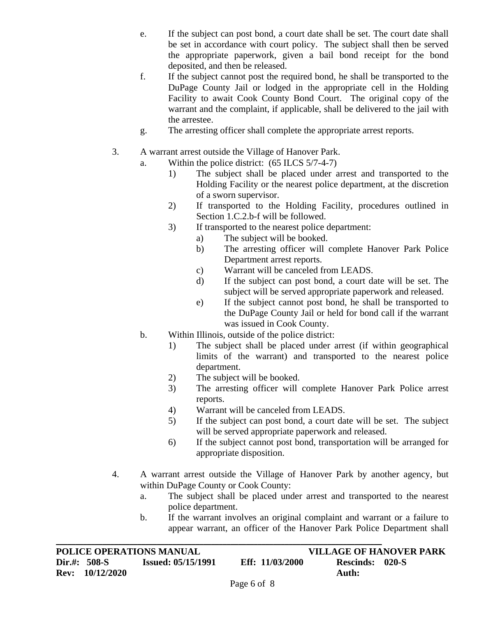- e. If the subject can post bond, a court date shall be set. The court date shall be set in accordance with court policy. The subject shall then be served the appropriate paperwork, given a bail bond receipt for the bond deposited, and then be released.
- f. If the subject cannot post the required bond, he shall be transported to the DuPage County Jail or lodged in the appropriate cell in the Holding Facility to await Cook County Bond Court. The original copy of the warrant and the complaint, if applicable, shall be delivered to the jail with the arrestee.
- g. The arresting officer shall complete the appropriate arrest reports.
- 3. A warrant arrest outside the Village of Hanover Park.
	- a. Within the police district: (65 ILCS 5/7-4-7)
		- 1) The subject shall be placed under arrest and transported to the Holding Facility or the nearest police department, at the discretion of a sworn supervisor.
		- 2) If transported to the Holding Facility, procedures outlined in Section 1.C.2.b-f will be followed.
		- 3) If transported to the nearest police department:
			- a) The subject will be booked.
			- b) The arresting officer will complete Hanover Park Police Department arrest reports.
			- c) Warrant will be canceled from LEADS.
			- d) If the subject can post bond, a court date will be set. The subject will be served appropriate paperwork and released.
			- e) If the subject cannot post bond, he shall be transported to the DuPage County Jail or held for bond call if the warrant was issued in Cook County.
	- b. Within Illinois, outside of the police district:
		- 1) The subject shall be placed under arrest (if within geographical limits of the warrant) and transported to the nearest police department.
		- 2) The subject will be booked.
		- 3) The arresting officer will complete Hanover Park Police arrest reports.
		- 4) Warrant will be canceled from LEADS.
		- 5) If the subject can post bond, a court date will be set. The subject will be served appropriate paperwork and released.
		- 6) If the subject cannot post bond, transportation will be arranged for appropriate disposition.
- 4. A warrant arrest outside the Village of Hanover Park by another agency, but within DuPage County or Cook County:
	- a. The subject shall be placed under arrest and transported to the nearest police department.
	- b. If the warrant involves an original complaint and warrant or a failure to appear warrant, an officer of the Hanover Park Police Department shall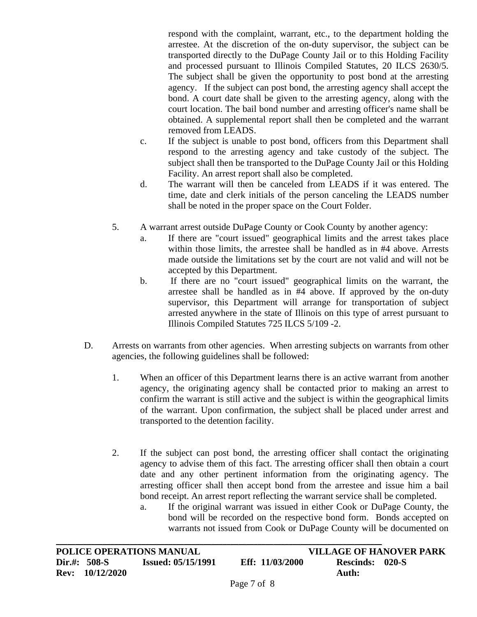respond with the complaint, warrant, etc., to the department holding the arrestee. At the discretion of the on-duty supervisor, the subject can be transported directly to the DuPage County Jail or to this Holding Facility and processed pursuant to Illinois Compiled Statutes, 20 ILCS 2630/5. The subject shall be given the opportunity to post bond at the arresting agency. If the subject can post bond, the arresting agency shall accept the bond. A court date shall be given to the arresting agency, along with the court location. The bail bond number and arresting officer's name shall be obtained. A supplemental report shall then be completed and the warrant removed from LEADS.

- c. If the subject is unable to post bond, officers from this Department shall respond to the arresting agency and take custody of the subject. The subject shall then be transported to the DuPage County Jail or this Holding Facility. An arrest report shall also be completed.
- d. The warrant will then be canceled from LEADS if it was entered. The time, date and clerk initials of the person canceling the LEADS number shall be noted in the proper space on the Court Folder.
- 5. A warrant arrest outside DuPage County or Cook County by another agency:
	- a. If there are "court issued" geographical limits and the arrest takes place within those limits, the arrestee shall be handled as in #4 above. Arrests made outside the limitations set by the court are not valid and will not be accepted by this Department.
	- b. If there are no "court issued" geographical limits on the warrant, the arrestee shall be handled as in #4 above. If approved by the on-duty supervisor, this Department will arrange for transportation of subject arrested anywhere in the state of Illinois on this type of arrest pursuant to Illinois Compiled Statutes 725 ILCS 5/109 -2.
- D. Arrests on warrants from other agencies. When arresting subjects on warrants from other agencies, the following guidelines shall be followed:
	- 1. When an officer of this Department learns there is an active warrant from another agency, the originating agency shall be contacted prior to making an arrest to confirm the warrant is still active and the subject is within the geographical limits of the warrant. Upon confirmation, the subject shall be placed under arrest and transported to the detention facility.
	- 2. If the subject can post bond, the arresting officer shall contact the originating agency to advise them of this fact. The arresting officer shall then obtain a court date and any other pertinent information from the originating agency. The arresting officer shall then accept bond from the arrestee and issue him a bail bond receipt. An arrest report reflecting the warrant service shall be completed.
		- a. If the original warrant was issued in either Cook or DuPage County, the bond will be recorded on the respective bond form. Bonds accepted on warrants not issued from Cook or DuPage County will be documented on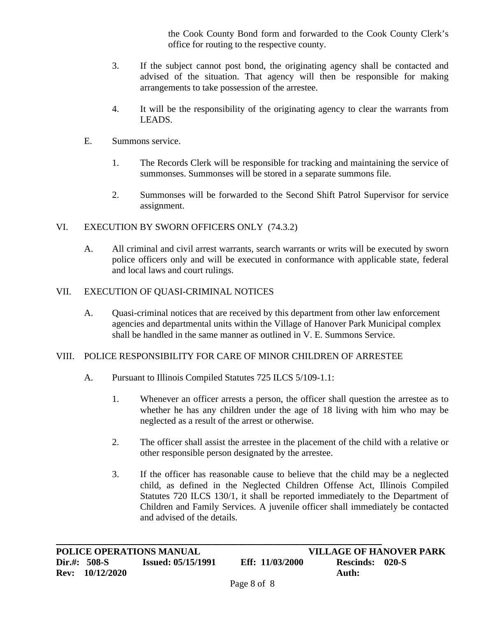the Cook County Bond form and forwarded to the Cook County Clerk's office for routing to the respective county.

- 3. If the subject cannot post bond, the originating agency shall be contacted and advised of the situation. That agency will then be responsible for making arrangements to take possession of the arrestee.
- 4. It will be the responsibility of the originating agency to clear the warrants from LEADS.
- E. Summons service.
	- 1. The Records Clerk will be responsible for tracking and maintaining the service of summonses. Summonses will be stored in a separate summons file.
	- 2. Summonses will be forwarded to the Second Shift Patrol Supervisor for service assignment.

## VI. EXECUTION BY SWORN OFFICERS ONLY (74.3.2)

A. All criminal and civil arrest warrants, search warrants or writs will be executed by sworn police officers only and will be executed in conformance with applicable state, federal and local laws and court rulings.

## VII. EXECUTION OF QUASI-CRIMINAL NOTICES

A. Quasi-criminal notices that are received by this department from other law enforcement agencies and departmental units within the Village of Hanover Park Municipal complex shall be handled in the same manner as outlined in V. E. Summons Service.

### VIII. POLICE RESPONSIBILITY FOR CARE OF MINOR CHILDREN OF ARRESTEE

- A. Pursuant to Illinois Compiled Statutes 725 ILCS 5/109-1.1:
	- 1. Whenever an officer arrests a person, the officer shall question the arrestee as to whether he has any children under the age of 18 living with him who may be neglected as a result of the arrest or otherwise.
	- 2. The officer shall assist the arrestee in the placement of the child with a relative or other responsible person designated by the arrestee.
	- 3. If the officer has reasonable cause to believe that the child may be a neglected child, as defined in the Neglected Children Offense Act, Illinois Compiled Statutes 720 ILCS 130/1, it shall be reported immediately to the Department of Children and Family Services. A juvenile officer shall immediately be contacted and advised of the details.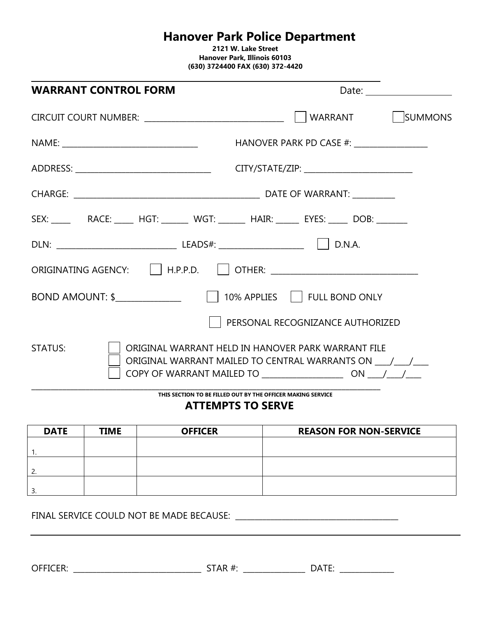# **Hanover Park Police Department**

**2121 W. Lake Street Hanover Park, Illinois 60103 (630) 3724400 FAX (630) 372-4420**

| <b>WARRANT CONTROL FORM</b> | Date: and the contract of the contract of the contract of the contract of the contract of the contract of the contract of the contract of the contract of the contract of the contract of the contract of the contract of the |  |
|-----------------------------|-------------------------------------------------------------------------------------------------------------------------------------------------------------------------------------------------------------------------------|--|
|                             | WARRANT   SUMMONS                                                                                                                                                                                                             |  |
|                             | HANOVER PARK PD CASE #: __________________                                                                                                                                                                                    |  |
|                             | CITY/STATE/ZIP: _____________________________                                                                                                                                                                                 |  |
|                             |                                                                                                                                                                                                                               |  |
|                             |                                                                                                                                                                                                                               |  |
|                             |                                                                                                                                                                                                                               |  |
|                             |                                                                                                                                                                                                                               |  |
|                             |                                                                                                                                                                                                                               |  |
|                             | PERSONAL RECOGNIZANCE AUTHORIZED                                                                                                                                                                                              |  |
| <b>STATUS:</b>              | ORIGINAL WARRANT HELD IN HANOVER PARK WARRANT FILE                                                                                                                                                                            |  |

**THIS SECTION TO BE FILLED OUT BY THE OFFICER MAKING SERVICE**

## **ATTEMPTS TO SERVE**

| <b>DATE</b> | <b>TIME</b> | <b>OFFICER</b> | <b>REASON FOR NON-SERVICE</b> |
|-------------|-------------|----------------|-------------------------------|
|             |             |                |                               |
|             |             |                |                               |
|             |             |                |                               |
|             |             |                |                               |
|             |             |                |                               |
|             |             |                |                               |

FINAL SERVICE COULD NOT BE MADE BECAUSE: **\_\_\_\_\_\_\_\_\_\_\_\_\_\_\_\_\_\_\_\_\_\_\_\_\_\_\_\_\_\_\_\_\_\_\_\_\_\_\_\_\_\_**